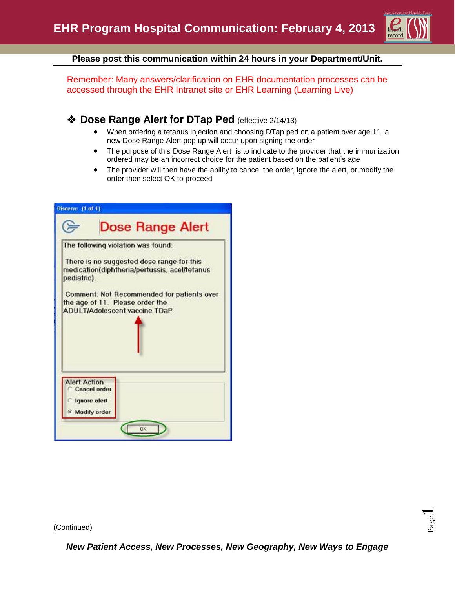

**Please post this communication within 24 hours in your Department/Unit.**

Remember: Many answers/clarification on EHR documentation processes can be accessed through the EHR Intranet site or EHR Learning (Learning Live)

## **Example 20 Dose Range Alert for DTap Ped** (effective 2/14/13)

- When ordering a tetanus injection and choosing DTap ped on a patient over age 11, a new Dose Range Alert pop up will occur upon signing the order
- The purpose of this Dose Range Alert is to indicate to the provider that the immunization ordered may be an incorrect choice for the patient based on the patient's age
- The provider will then have the ability to cancel the order, ignore the alert, or modify the order then select OK to proceed



(Continued)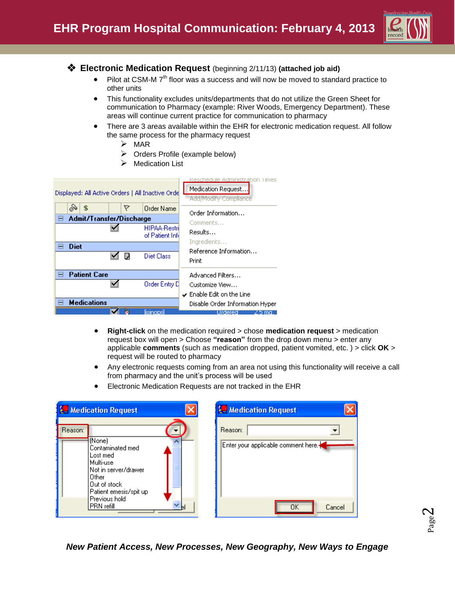

## **Electronic Medication Request** (beginning 2/11/13) **(attached job aid)**

- $\bullet$  Pilot at CSM-M 7<sup>th</sup> floor was a success and will now be moved to standard practice to other units
- This functionality excludes units/departments that do not utilize the Green Sheet for communication to Pharmacy (example: River Woods, Emergency Department). These areas will continue current practice for communication to pharmacy
- There are 3 areas available within the EHR for electronic medication request. All follow the same process for the pharmacy request
	- $\triangleright$  MAR
	- $\triangleright$  Orders Profile (example below)
	- Medication List



- **Right-click** on the medication required > chose **medication request** > medication request box will open > Choose **"reason"** from the drop down menu > enter any applicable **comments** (such as medication dropped, patient vomited, etc. ) > click **OK** > request will be routed to pharmacy
- Any electronic requests coming from an area not using this functionality will receive a call from pharmacy and the unit's process will be used
- Electronic Medication Requests are not tracked in the EHR

| <b>Le Medication Request</b>                                                                                                                                               | <b>Le Medication Request</b>                                   |
|----------------------------------------------------------------------------------------------------------------------------------------------------------------------------|----------------------------------------------------------------|
| Reason:<br>(None)<br>Contaminated med<br>Lost med<br>Multi-usel<br>Not in server/drawer<br>Other<br>Out of stock<br>Patient emesis/spit up<br>Previous hold<br>IPRN refill | Reason:<br>Enter your applicable comment here.<br>ΟK<br>Cancel |

Page  $\boldsymbol{\sim}$